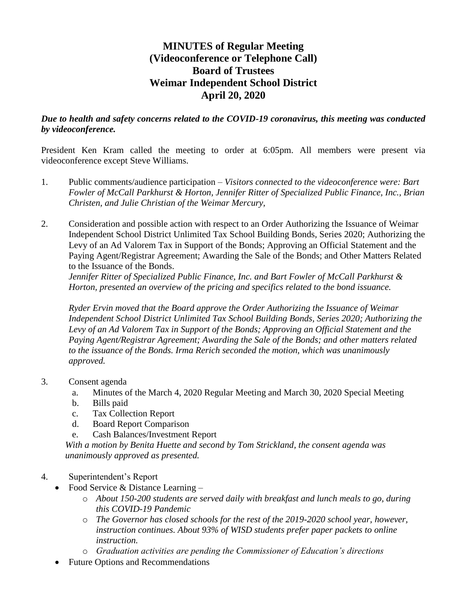# **MINUTES of Regular Meeting (Videoconference or Telephone Call) Board of Trustees Weimar Independent School District April 20, 2020**

## *Due to health and safety concerns related to the COVID-19 coronavirus, this meeting was conducted by videoconference.*

President Ken Kram called the meeting to order at 6:05pm. All members were present via videoconference except Steve Williams.

- 1. Public comments/audience participation *Visitors connected to the videoconference were: Bart Fowler of McCall Parkhurst & Horton, Jennifer Ritter of Specialized Public Finance, Inc., Brian Christen, and Julie Christian of the Weimar Mercury,*
- 2. Consideration and possible action with respect to an Order Authorizing the Issuance of Weimar Independent School District Unlimited Tax School Building Bonds, Series 2020; Authorizing the Levy of an Ad Valorem Tax in Support of the Bonds; Approving an Official Statement and the Paying Agent/Registrar Agreement; Awarding the Sale of the Bonds; and Other Matters Related to the Issuance of the Bonds.

*Jennifer Ritter of Specialized Public Finance, Inc. and Bart Fowler of McCall Parkhurst & Horton, presented an overview of the pricing and specifics related to the bond issuance.* 

*Ryder Ervin moved that the Board approve the Order Authorizing the Issuance of Weimar Independent School District Unlimited Tax School Building Bonds, Series 2020; Authorizing the Levy of an Ad Valorem Tax in Support of the Bonds; Approving an Official Statement and the Paying Agent/Registrar Agreement; Awarding the Sale of the Bonds; and other matters related to the issuance of the Bonds. Irma Rerich seconded the motion, which was unanimously approved.*

- 3. Consent agenda
	- a. Minutes of the March 4, 2020 Regular Meeting and March 30, 2020 Special Meeting
	- b. Bills paid
	- c. Tax Collection Report
	- d. Board Report Comparison
	- e. Cash Balances/Investment Report

*With a motion by Benita Huette and second by Tom Strickland, the consent agenda was unanimously approved as presented.*

- 4. Superintendent's Report
	- Food Service & Distance Learning
		- o *About 150-200 students are served daily with breakfast and lunch meals to go, during this COVID-19 Pandemic*
		- o *The Governor has closed schools for the rest of the 2019-2020 school year, however, instruction continues. About 93% of WISD students prefer paper packets to online instruction.*
		- o *Graduation activities are pending the Commissioner of Education's directions*
		- Future Options and Recommendations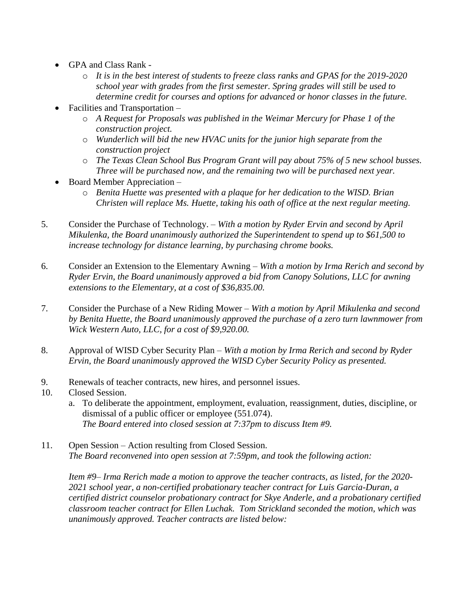- GPA and Class Rank
	- o *It is in the best interest of students to freeze class ranks and GPAS for the 2019-2020 school year with grades from the first semester. Spring grades will still be used to determine credit for courses and options for advanced or honor classes in the future.*
- Facilities and Transportation
	- o *A Request for Proposals was published in the Weimar Mercury for Phase 1 of the construction project.*
	- o *Wunderlich will bid the new HVAC units for the junior high separate from the construction project*
	- o *The Texas Clean School Bus Program Grant will pay about 75% of 5 new school busses. Three will be purchased now, and the remaining two will be purchased next year.*
- Board Member Appreciation
	- o *Benita Huette was presented with a plaque for her dedication to the WISD. Brian Christen will replace Ms. Huette, taking his oath of office at the next regular meeting.*
- 5. Consider the Purchase of Technology. *With a motion by Ryder Ervin and second by April Mikulenka, the Board unanimously authorized the Superintendent to spend up to \$61,500 to increase technology for distance learning, by purchasing chrome books.*
- 6. Consider an Extension to the Elementary Awning *With a motion by Irma Rerich and second by Ryder Ervin, the Board unanimously approved a bid from Canopy Solutions, LLC for awning extensions to the Elementary, at a cost of \$36,835.00.*
- 7. Consider the Purchase of a New Riding Mower *With a motion by April Mikulenka and second by Benita Huette, the Board unanimously approved the purchase of a zero turn lawnmower from Wick Western Auto, LLC, for a cost of \$9,920.00.*
- 8. Approval of WISD Cyber Security Plan *With a motion by Irma Rerich and second by Ryder Ervin, the Board unanimously approved the WISD Cyber Security Policy as presented.*
- 9. Renewals of teacher contracts, new hires, and personnel issues.
- 10. Closed Session.
	- a. To deliberate the appointment, employment, evaluation, reassignment, duties, discipline, or dismissal of a public officer or employee (551.074). *The Board entered into closed session at 7:37pm to discuss Item #9.*
- 11. Open Session Action resulting from Closed Session. *The Board reconvened into open session at 7:59pm, and took the following action:*

*Item #9– Irma Rerich made a motion to approve the teacher contracts, as listed, for the 2020- 2021 school year, a non-certified probationary teacher contract for Luis Garcia-Duran, a certified district counselor probationary contract for Skye Anderle, and a probationary certified classroom teacher contract for Ellen Luchak. Tom Strickland seconded the motion, which was unanimously approved. Teacher contracts are listed below:*